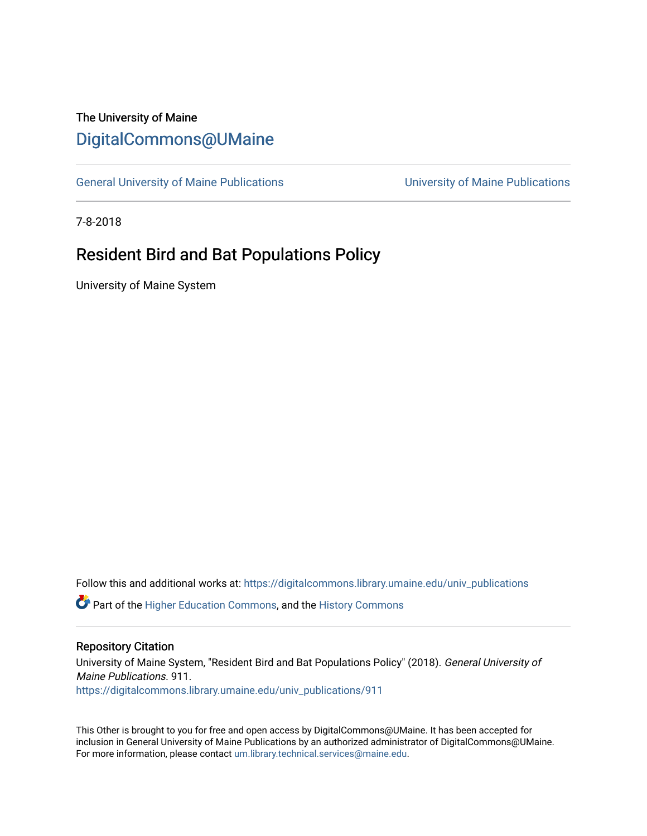# The University of Maine [DigitalCommons@UMaine](https://digitalcommons.library.umaine.edu/)

[General University of Maine Publications](https://digitalcommons.library.umaine.edu/univ_publications) [University of Maine Publications](https://digitalcommons.library.umaine.edu/umaine_publications) 

7-8-2018

# Resident Bird and Bat Populations Policy

University of Maine System

Follow this and additional works at: [https://digitalcommons.library.umaine.edu/univ\\_publications](https://digitalcommons.library.umaine.edu/univ_publications?utm_source=digitalcommons.library.umaine.edu%2Funiv_publications%2F911&utm_medium=PDF&utm_campaign=PDFCoverPages) 

**C** Part of the [Higher Education Commons,](http://network.bepress.com/hgg/discipline/1245?utm_source=digitalcommons.library.umaine.edu%2Funiv_publications%2F911&utm_medium=PDF&utm_campaign=PDFCoverPages) and the [History Commons](http://network.bepress.com/hgg/discipline/489?utm_source=digitalcommons.library.umaine.edu%2Funiv_publications%2F911&utm_medium=PDF&utm_campaign=PDFCoverPages)

#### Repository Citation

University of Maine System, "Resident Bird and Bat Populations Policy" (2018). General University of Maine Publications. 911. [https://digitalcommons.library.umaine.edu/univ\\_publications/911](https://digitalcommons.library.umaine.edu/univ_publications/911?utm_source=digitalcommons.library.umaine.edu%2Funiv_publications%2F911&utm_medium=PDF&utm_campaign=PDFCoverPages) 

This Other is brought to you for free and open access by DigitalCommons@UMaine. It has been accepted for inclusion in General University of Maine Publications by an authorized administrator of DigitalCommons@UMaine. For more information, please contact [um.library.technical.services@maine.edu](mailto:um.library.technical.services@maine.edu).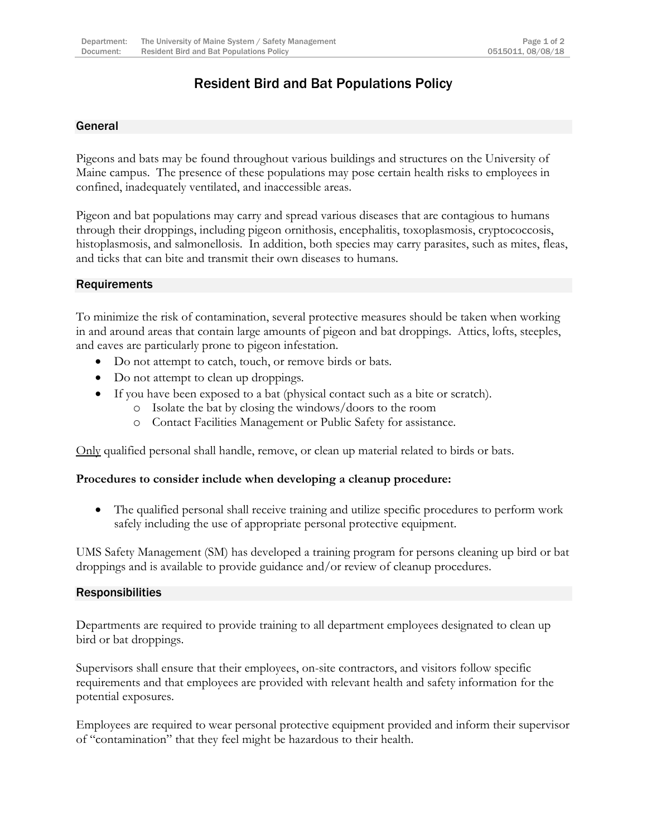## Resident Bird and Bat Populations Policy

### General

Pigeons and bats may be found throughout various buildings and structures on the University of Maine campus. The presence of these populations may pose certain health risks to employees in confined, inadequately ventilated, and inaccessible areas.

Pigeon and bat populations may carry and spread various diseases that are contagious to humans through their droppings, including pigeon ornithosis, encephalitis, toxoplasmosis, cryptococcosis, histoplasmosis, and salmonellosis. In addition, both species may carry parasites, such as mites, fleas, and ticks that can bite and transmit their own diseases to humans.

### **Requirements**

To minimize the risk of contamination, several protective measures should be taken when working in and around areas that contain large amounts of pigeon and bat droppings. Attics, lofts, steeples, and eaves are particularly prone to pigeon infestation.

- Do not attempt to catch, touch, or remove birds or bats.
- Do not attempt to clean up droppings.
- If you have been exposed to a bat (physical contact such as a bite or scratch).
	- o Isolate the bat by closing the windows/doors to the room
	- o Contact Facilities Management or Public Safety for assistance.

Only qualified personal shall handle, remove, or clean up material related to birds or bats.

### **Procedures to consider include when developing a cleanup procedure:**

 The qualified personal shall receive training and utilize specific procedures to perform work safely including the use of appropriate personal protective equipment.

UMS Safety Management (SM) has developed a training program for persons cleaning up bird or bat droppings and is available to provide guidance and/or review of cleanup procedures.

### Responsibilities

Departments are required to provide training to all department employees designated to clean up bird or bat droppings.

Supervisors shall ensure that their employees, on-site contractors, and visitors follow specific requirements and that employees are provided with relevant health and safety information for the potential exposures.

Employees are required to wear personal protective equipment provided and inform their supervisor of "contamination" that they feel might be hazardous to their health.